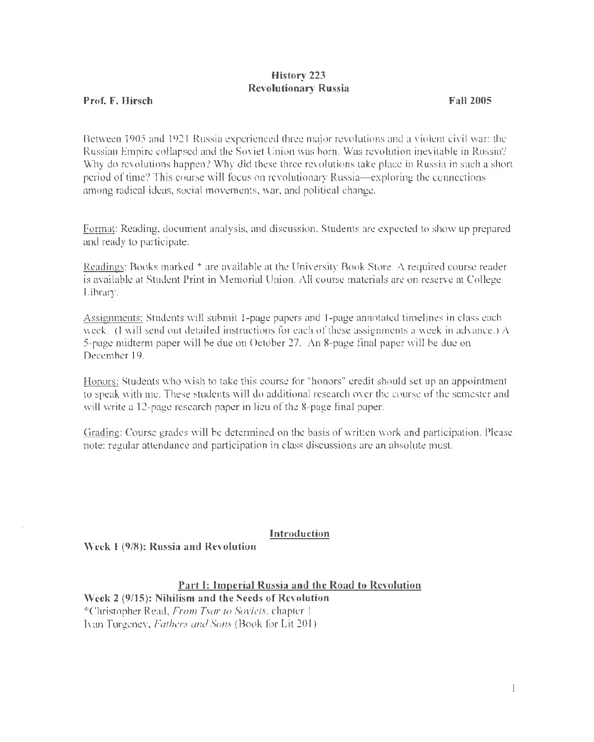# History 223 Revolutionary Russia

## Prof. F. Hirsch

### Fa11 2005

Between 1905 and 1921 Russia experienced three major revolutions and a violent civil war: the Russian Empire collapsed and the Soviet Union was born. Was revolution inevitable in Russia? Why do revolutions happen? Why did these three revolutions take place in Russia in such a short period of time? This course will focus on revolutionary Russia-exploring the connections among radical ideas, social movements, war, and political change.

Format: Reading, document analysis, and discussion. Students are expected to show up prepared and ready to participate.

Readings: Books marked \* are available at the University Book Store. A required course reader is available at Student Print in Memorial Union. All course materials are on reserve at College Library.

Assignments: Students will submit 1-page papers and 1-page annotated timelines in class each week. (I will send out detailed instructions for each of these assignments a week in advance.) A 5-page midterm paper will be due on October 27. An 8-page final paper will be due on December 19.

Honors: Students who wish to take this course for "honors" credit should set up an appointment to speak with me. These students will do additional research over the course of the semester and will write a 12-page research paper in lieu of the 8-page final paper.

Grading: Course grades will be determined on the basis of written work and participation. Please note: regular attendance and participation in class discussions are an absolute must.

### Introduction

Week 1 (9/8): Russia and Revolution

Part 1: Imperial Russia and the Road to Revolution

Week 2 (9/15): Nihilism and the Seeds of Revolution \*Christopher Read, *From Tsar to Soviets,* chapter 1 Ivan Turgenev, *Fathers and Sons* (Book for Lit 201)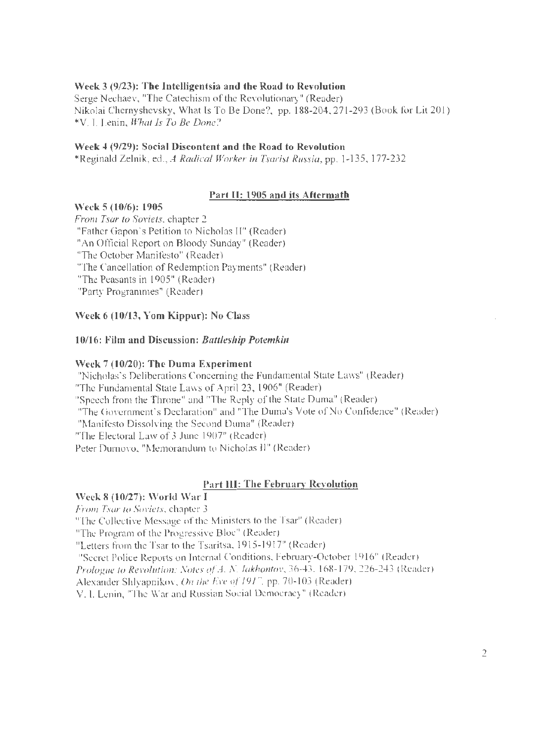## Week 3 (9/23): The Intelligentsia and the Road to Revolution

Serge Nechaev, "The Catechism of the Revolutionary" (Reader) Nikolai Chemyshevsky, What Is To Be Done?, pp. 188-204,271-293 (Book for Lit 201) \*V.I. Lenin, *What Is To Be Done?* 

### Week 4 (9/29): Social Discontent and the Road to Revolution

\*Reginald Zelnik, ed., *A Radical Worker in Tsarist Russia,* pp. 1-135, 177-232

## Part II: 1905 and its Aftermath

### Week 5 (10/6): 1905

*From Tsar to Soviets,* chapter 2 "Father Gapon's Petition to Nicholas II" (Reader) "An Official Report on Bloody Sunday" (Reader) "The October Manifesto" (Reader) "The Cancellation of Redemption Payments" (Reader) "The Peasants in 1905" (Reader) "Party Programmes" (Reader)

## Week 6 (10/13, Yom Kippur): No Class

### 10/16: Film and Discussion: *Battleship Potemkin*

### Week 7 (10/20): The Duma Experiment

"Nicholas's Deliberations Concerning the Fundamental State Laws" (Reader) "The Fundamental State Laws of April 23, 1906" (Reader) "Speech from the Throne" and "The Reply of the State Duma" (Reader) "The Government's Declaration" and "The Duma's Vote of No Confidence" (Reader) "Manifesto Dissolving the Second Duma" (Reader) "The Electoral Law of 3 June 1907" (Reader) Peter Ournovo, "Memorandum to Nicholas II" (Reader)

## Part Ill: The February Revolution

# Week 8 (10/27): \Vorld War I

*From Tsar to Soviets,* chapter 3

"The Collective Message of the Ministers to the Tsar" (Reader)

"The Program of the Progressive Bloc" (Reader)

"Letters from the Tsar to the Tsaritsa, 1915-1917" (Reader)

"Secret Police Reports on Internal Conditions, February-October 1916" (Reader)

*Prologue to Revolution: Notes of A. N. Jakhontov,* 36-43, 168-179, 226-243 (Reader)

Alexander Shlyapnikov, *On the Eve of 1917,* pp. 70-103 (Reader)

V.I. Lenin, "The War and Russian Social Democracy" (Reader)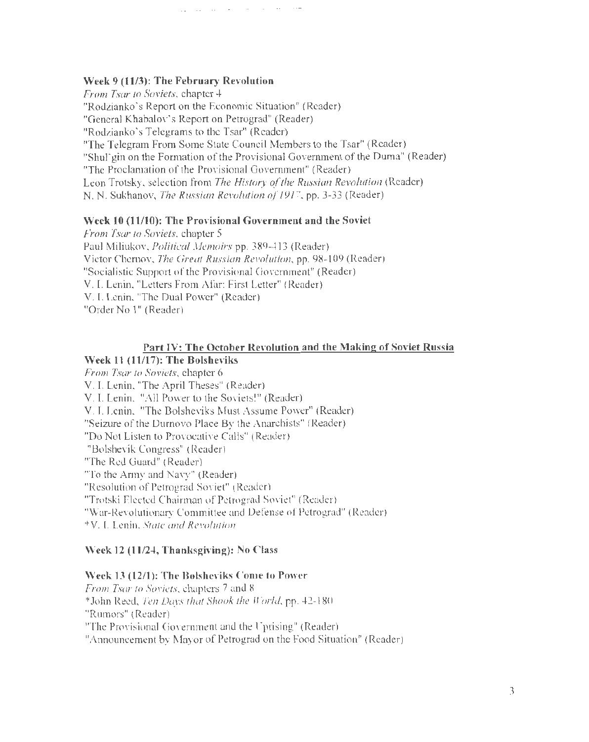## Week 9 (11/3): The February Revolution

*From Tsar to Soviets,* chapter 4 "Rodzianko's Report on the Economic Situation" (Reader) "General Khabalov's Report on Petrograd" (Reader) "Rodzianko's Telegrams to the Tsar" (Reader) "The Telegram From Some State Council Members to the Tsar" (Reader) "Shul'gin on the Formation of the Provisional Government of the Duma" (Reader) "The Proclamation of the Provisional Government" (Reader) Leon Trotsky, selection from *The History of the Russian Revolution* (Reader) N. N. Sukhanov, *The Russian Revolution of 1917,* pp. 3-33 (Reader)

### Week 10 (11/10): The Provisional Government and the Soviet

• •• 4 • - - •• - •• - - •• -· ·-·

*From Tsar to Soviets,* chapter 5 Paul Miliukov, *Political Memoirs* pp. 389-413 (Reader) Victor Chernov, *The Great Russian Revolution,* pp. 98-l 09 (Reader) "Socialistic Support of the Provisional Government" (Reader) V. I. Lenin, "Letters From Afar: First Letter" (Reader) V. I. Lenin, "The Dual Power" (Reader) "Order No l" (Reader)

### Part IV: The October Revolution and the Making of Soviet Russia

### Week 11 (11/17): The Bolsheviks

*From Tsar to Soviets,* chapter 6 V. I. Lenin, "The April Theses" (Reader) V.I. Lenin, "All Power to the Soviets!" (Reader) V. I. Lenin, "The Bolsheviks Must Assume Power" (Reader) "Seizure of the Durnovo Place By the Anarchists" (Reader) "Do Not Listen to Provocative Calls" (Reader) "Bolshevik Congress" (Reader) "The Red Guard" (Reader) "To the Army and Navy" (Reader) "Resolution of Petrograd Soviet" (Reader) "Trotski Elected Chairman ofPetrograd Soviet" (Reader) "War-Revolutionary Committee and Defense of Petrograd" (Reader) \*V.I. Lenin. *State and Revolution* 

#### Week 12 (11/24, Thanksgiving): No Class

### Week 13 (12/1): The Bolsheviks Come to Power

*From Tsar to Soviets, chapters* 7 and 8 \*John Reed, *Ten Days that Shook the World,* pp. 42-180 "Rumors" (Reader) "The Provisional Government and the Uprising" (Reader) "Announcement by Mayor of Petrograd on the Food Situation" (Reader)